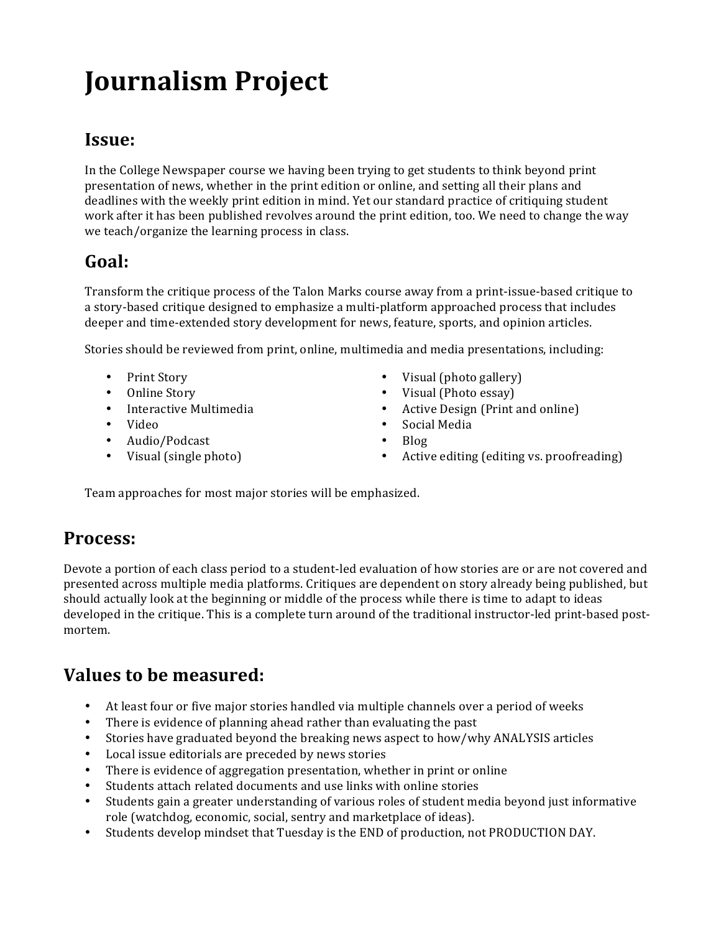# **Journalism Project**

### **Issue:**

In the College Newspaper course we having been trying to get students to think beyond print presentation of news, whether in the print edition or online, and setting all their plans and deadlines with the weekly print edition in mind. Yet our standard practice of critiquing student work after it has been published revolves around the print edition, too. We need to change the way we teach/organize the learning process in class.

# Goal:

Transform the critique process of the Talon Marks course away from a print-issue-based critique to a story-based critique designed to emphasize a multi-platform approached process that includes deeper and time-extended story development for news, feature, sports, and opinion articles.

Stories should be reviewed from print, online, multimedia and media presentations, including:

- Print Story
- Online Story
- Interactive Multimedia
- Video
- Audio/Podcast
- Visual (single photo)
- Visual (photo gallery)
- Visual (Photo essay)
- Active Design (Print and online)
- Social Media
- Blog
- Active editing (editing vs. proofreading)

Team approaches for most major stories will be emphasized.

#### Process:

Devote a portion of each class period to a student-led evaluation of how stories are or are not covered and presented across multiple media platforms. Critiques are dependent on story already being published, but should actually look at the beginning or middle of the process while there is time to adapt to ideas developed in the critique. This is a complete turn around of the traditional instructor-led print-based postmortem.

# **Values to be measured:**

- At least four or five major stories handled via multiple channels over a period of weeks
- There is evidence of planning ahead rather than evaluating the past
- Stories have graduated beyond the breaking news aspect to how/why ANALYSIS articles
- Local issue editorials are preceded by news stories
- There is evidence of aggregation presentation, whether in print or online
- Students attach related documents and use links with online stories
- Students gain a greater understanding of various roles of student media beyond just informative role (watchdog, economic, social, sentry and marketplace of ideas).
- Students develop mindset that Tuesday is the END of production, not PRODUCTION DAY.